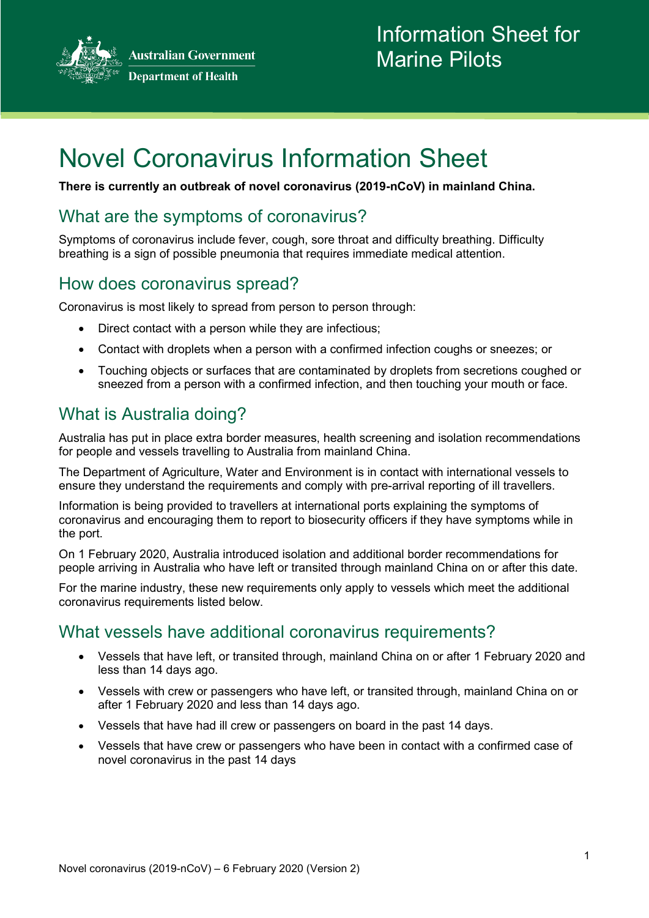**Australian Government Department of Health** 



# Novel Coronavirus Information Sheet

**There is currently an outbreak of novel coronavirus (2019-nCoV) in mainland China.**

### What are the symptoms of coronavirus?

Symptoms of coronavirus include fever, cough, sore throat and difficulty breathing. Difficulty breathing is a sign of possible pneumonia that requires immediate medical attention.

#### How does coronavirus spread?

Coronavirus is most likely to spread from person to person through:

- Direct contact with a person while they are infectious;
- Contact with droplets when a person with a confirmed infection coughs or sneezes; or
- Touching objects or surfaces that are contaminated by droplets from secretions coughed or sneezed from a person with a confirmed infection, and then touching your mouth or face.

#### What is Australia doing?

Australia has put in place extra border measures, health screening and isolation recommendations for people and vessels travelling to Australia from mainland China.

The Department of Agriculture, Water and Environment is in contact with international vessels to ensure they understand the requirements and comply with pre-arrival reporting of ill travellers.

Information is being provided to travellers at international ports explaining the symptoms of coronavirus and encouraging them to report to biosecurity officers if they have symptoms while in the port.

On 1 February 2020, Australia introduced isolation and additional border recommendations for people arriving in Australia who have left or transited through mainland China on or after this date.

For the marine industry, these new requirements only apply to vessels which meet the additional coronavirus requirements listed below.

#### What vessels have additional coronavirus requirements?

- Vessels that have left, or transited through, mainland China on or after 1 February 2020 and less than 14 days ago.
- Vessels with crew or passengers who have left, or transited through, mainland China on or after 1 February 2020 and less than 14 days ago.
- Vessels that have had ill crew or passengers on board in the past 14 days.
- Vessels that have crew or passengers who have been in contact with a confirmed case of novel coronavirus in the past 14 days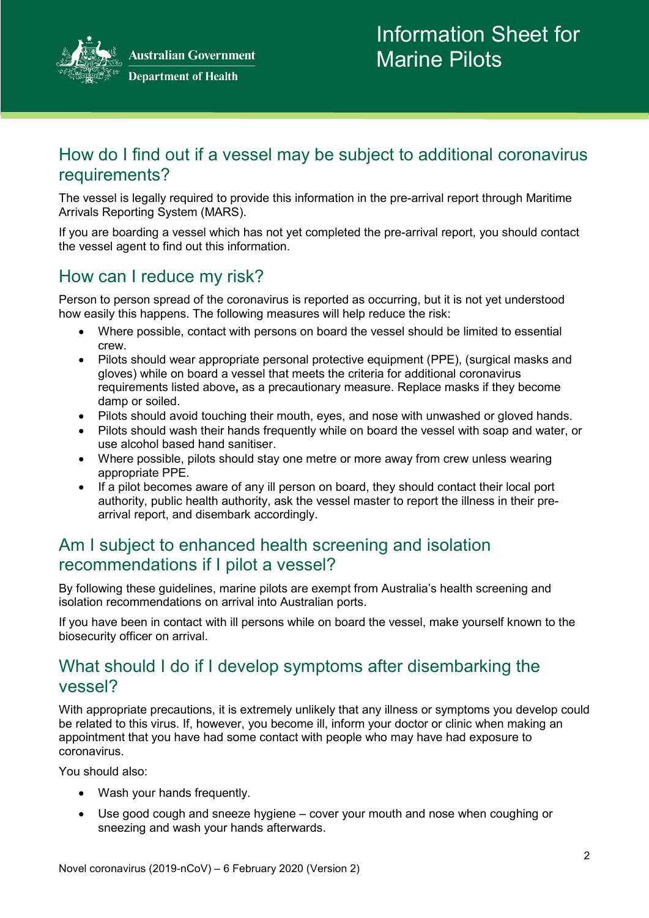**Australian Government Department of Health** 



#### How do I find out if a vessel may be subject to additional coronavirus requirements?

The vessel is legally required to provide this information in the pre-arrival report through Maritime Arrivals Reporting System (MARS).

If you are boarding a vessel which has not yet completed the pre-arrival report, you should contact the vessel agent to find out this information.

#### How can I reduce my risk?

Person to person spread of the coronavirus is reported as occurring, but it is not yet understood how easily this happens. The following measures will help reduce the risk:

- Where possible, contact with persons on board the vessel should be limited to essential crew.
- Pilots should wear appropriate personal protective equipment (PPE), (surgical masks and gloves) while on board a vessel that meets the criteria for additional coronavirus requirements listed above**,** as a precautionary measure. Replace masks if they become damp or soiled.
- Pilots should avoid touching their mouth, eyes, and nose with unwashed or gloved hands.
- Pilots should wash their hands frequently while on board the vessel with soap and water, or use alcohol based hand sanitiser.
- Where possible, pilots should stay one metre or more away from crew unless wearing appropriate PPE.
- If a pilot becomes aware of any ill person on board, they should contact their local port authority, public health authority, ask the vessel master to report the illness in their prearrival report, and disembark accordingly.

#### Am I subject to enhanced health screening and isolation recommendations if I pilot a vessel?

By following these guidelines, marine pilots are exempt from Australia's health screening and isolation recommendations on arrival into Australian ports.

If you have been in contact with ill persons while on board the vessel, make yourself known to the biosecurity officer on arrival.

#### What should I do if I develop symptoms after disembarking the vessel?

With appropriate precautions, it is extremely unlikely that any illness or symptoms you develop could be related to this virus. If, however, you become ill, inform your doctor or clinic when making an appointment that you have had some contact with people who may have had exposure to coronavirus.

You should also:

- Wash your hands frequently.
- Use good cough and sneeze hygiene cover your mouth and nose when coughing or sneezing and wash your hands afterwards.